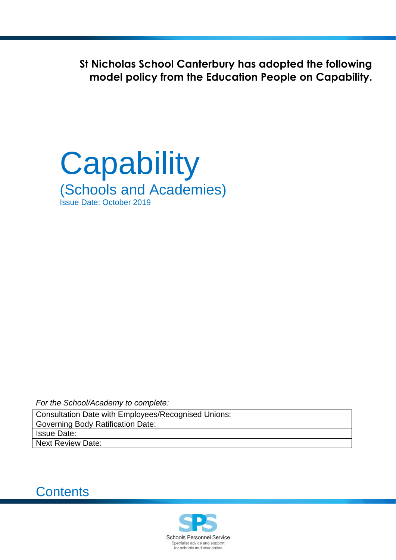**St Nicholas School Canterbury has adopted the following model policy from the Education People on Capability.**



*For the School/Academy to complete:*

Consultation Date with Employees/Recognised Unions: Governing Body Ratification Date: Issue Date: Next Review Date:



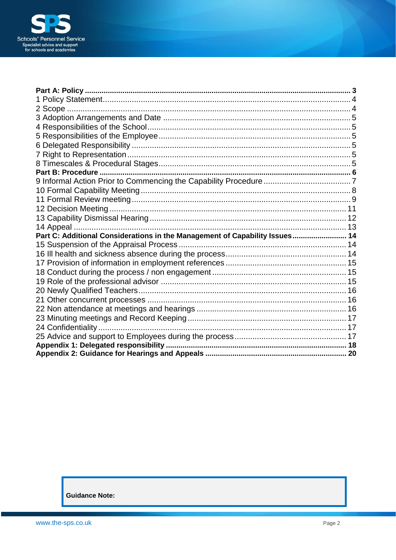

| Part C: Additional Considerations in the Management of Capability Issues 14 |  |
|-----------------------------------------------------------------------------|--|
|                                                                             |  |
|                                                                             |  |
|                                                                             |  |
|                                                                             |  |
|                                                                             |  |
|                                                                             |  |
|                                                                             |  |
|                                                                             |  |
|                                                                             |  |
|                                                                             |  |
|                                                                             |  |
|                                                                             |  |
|                                                                             |  |

**Guidance Note:**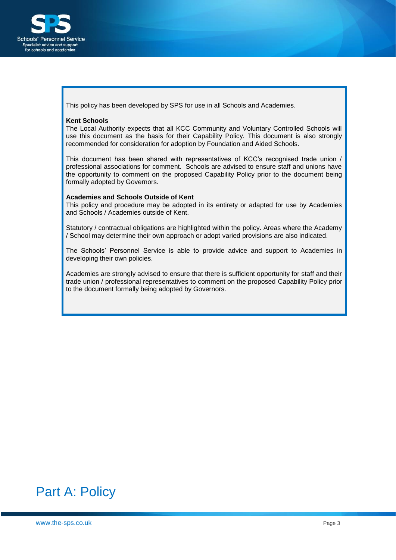

This policy has been developed by SPS for use in all Schools and Academies.

#### **Kent Schools**

The Local Authority expects that all KCC Community and Voluntary Controlled Schools will use this document as the basis for their Capability Policy. This document is also strongly recommended for consideration for adoption by Foundation and Aided Schools.

This document has been shared with representatives of KCC's recognised trade union / professional associations for comment. Schools are advised to ensure staff and unions have the opportunity to comment on the proposed Capability Policy prior to the document being formally adopted by Governors.

#### **Academies and Schools Outside of Kent**

This policy and procedure may be adopted in its entirety or adapted for use by Academies and Schools / Academies outside of Kent.

Statutory / contractual obligations are highlighted within the policy. Areas where the Academy / School may determine their own approach or adopt varied provisions are also indicated.

The Schools' Personnel Service is able to provide advice and support to Academies in developing their own policies.

Academies are strongly advised to ensure that there is sufficient opportunity for staff and their trade union / professional representatives to comment on the proposed Capability Policy prior to the document formally being adopted by Governors.

# <span id="page-2-0"></span>Part A: Policy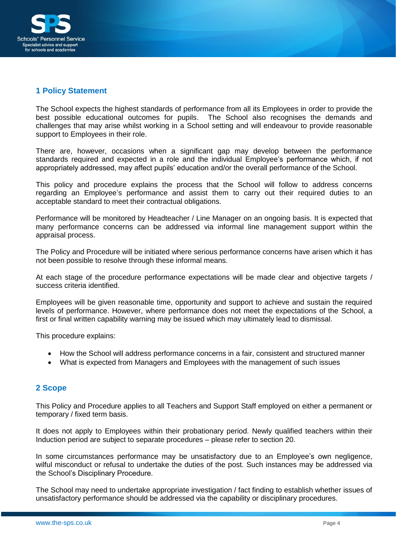

### <span id="page-3-0"></span>**1 Policy Statement**

The School expects the highest standards of performance from all its Employees in order to provide the best possible educational outcomes for pupils. The School also recognises the demands and challenges that may arise whilst working in a School setting and will endeavour to provide reasonable support to Employees in their role.

There are, however, occasions when a significant gap may develop between the performance standards required and expected in a role and the individual Employee's performance which, if not appropriately addressed, may affect pupils' education and/or the overall performance of the School.

This policy and procedure explains the process that the School will follow to address concerns regarding an Employee's performance and assist them to carry out their required duties to an acceptable standard to meet their contractual obligations.

Performance will be monitored by Headteacher / Line Manager on an ongoing basis. It is expected that many performance concerns can be addressed via informal line management support within the appraisal process.

The Policy and Procedure will be initiated where serious performance concerns have arisen which it has not been possible to resolve through these informal means.

At each stage of the procedure performance expectations will be made clear and objective targets / success criteria identified.

Employees will be given reasonable time, opportunity and support to achieve and sustain the required levels of performance. However, where performance does not meet the expectations of the School, a first or final written capability warning may be issued which may ultimately lead to dismissal.

This procedure explains:

- How the School will address performance concerns in a fair, consistent and structured manner
- What is expected from Managers and Employees with the management of such issues

#### <span id="page-3-1"></span>**2 Scope**

This Policy and Procedure applies to all Teachers and Support Staff employed on either a permanent or temporary / fixed term basis.

It does not apply to Employees within their probationary period. Newly qualified teachers within their Induction period are subject to separate procedures – please refer to section 20.

In some circumstances performance may be unsatisfactory due to an Employee's own negligence, wilful misconduct or refusal to undertake the duties of the post. Such instances may be addressed via the School's Disciplinary Procedure.

The School may need to undertake appropriate investigation / fact finding to establish whether issues of unsatisfactory performance should be addressed via the capability or disciplinary procedures.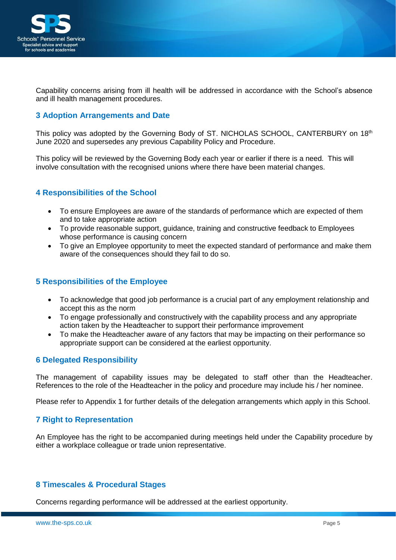

Capability concerns arising from ill health will be addressed in accordance with the School's absence and ill health management procedures.

### <span id="page-4-0"></span>**3 Adoption Arrangements and Date**

This policy was adopted by the Governing Body of ST. NICHOLAS SCHOOL, CANTERBURY on 18th June 2020 and supersedes any previous Capability Policy and Procedure.

This policy will be reviewed by the Governing Body each year or earlier if there is a need. This will involve consultation with the recognised unions where there have been material changes.

### <span id="page-4-1"></span>**4 Responsibilities of the School**

- To ensure Employees are aware of the standards of performance which are expected of them and to take appropriate action
- To provide reasonable support, guidance, training and constructive feedback to Employees whose performance is causing concern
- To give an Employee opportunity to meet the expected standard of performance and make them aware of the consequences should they fail to do so.

#### <span id="page-4-2"></span>**5 Responsibilities of the Employee**

- To acknowledge that good job performance is a crucial part of any employment relationship and accept this as the norm
- To engage professionally and constructively with the capability process and any appropriate action taken by the Headteacher to support their performance improvement
- To make the Headteacher aware of any factors that may be impacting on their performance so appropriate support can be considered at the earliest opportunity.

#### <span id="page-4-3"></span>**6 Delegated Responsibility**

The management of capability issues may be delegated to staff other than the Headteacher. References to the role of the Headteacher in the policy and procedure may include his / her nominee.

Please refer to Appendix 1 for further details of the delegation arrangements which apply in this School.

#### <span id="page-4-4"></span>**7 Right to Representation**

An Employee has the right to be accompanied during meetings held under the Capability procedure by either a workplace colleague or trade union representative.

## <span id="page-4-5"></span>**8 Timescales & Procedural Stages**

Concerns regarding performance will be addressed at the earliest opportunity.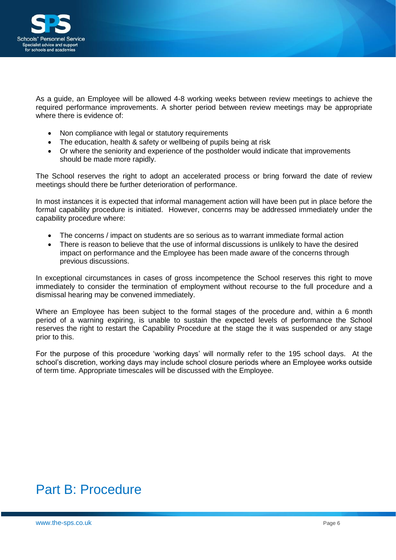

As a guide, an Employee will be allowed 4-8 working weeks between review meetings to achieve the required performance improvements. A shorter period between review meetings may be appropriate where there is evidence of:

- Non compliance with legal or statutory requirements
- The education, health & safety or wellbeing of pupils being at risk
- Or where the seniority and experience of the postholder would indicate that improvements should be made more rapidly.

The School reserves the right to adopt an accelerated process or bring forward the date of review meetings should there be further deterioration of performance.

In most instances it is expected that informal management action will have been put in place before the formal capability procedure is initiated. However, concerns may be addressed immediately under the capability procedure where:

- The concerns / impact on students are so serious as to warrant immediate formal action
- There is reason to believe that the use of informal discussions is unlikely to have the desired impact on performance and the Employee has been made aware of the concerns through previous discussions.

In exceptional circumstances in cases of gross incompetence the School reserves this right to move immediately to consider the termination of employment without recourse to the full procedure and a dismissal hearing may be convened immediately.

Where an Employee has been subject to the formal stages of the procedure and, within a 6 month period of a warning expiring, is unable to sustain the expected levels of performance the School reserves the right to restart the Capability Procedure at the stage the it was suspended or any stage prior to this.

For the purpose of this procedure 'working days' will normally refer to the 195 school days. At the school's discretion, working days may include school closure periods where an Employee works outside of term time. Appropriate timescales will be discussed with the Employee.

# <span id="page-5-0"></span>Part B: Procedure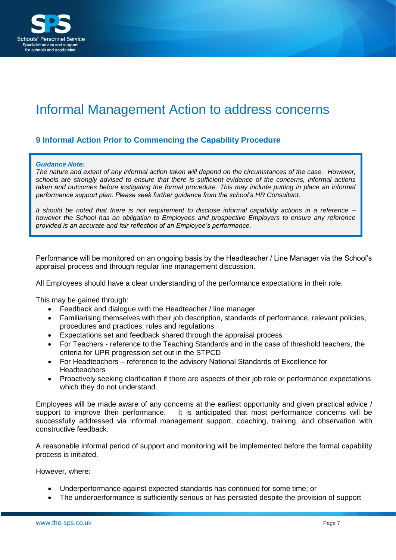

# Informal Management Action to address concerns

# <span id="page-6-0"></span>**9 Informal Action Prior to Commencing the Capability Procedure**

#### *Guidance Note:*

*The nature and extent of any informal action taken will depend on the circumstances of the case. However, schools are strongly advised to ensure that there is sufficient evidence of the concerns, informal actions taken and outcomes before instigating the formal procedure. This may include putting in place an informal performance support plan. Please seek further guidance from the school's HR Consultant.*

*It should be noted that there is not requirement to disclose informal capability actions in a reference – however the School has an obligation to Employees and prospective Employers to ensure any reference provided is an accurate and fair reflection of an Employee's performance.*

Performance will be monitored on an ongoing basis by the Headteacher / Line Manager via the School's appraisal process and through regular line management discussion.

All Employees should have a clear understanding of the performance expectations in their role.

This may be gained through:

- Feedback and dialogue with the Headteacher / line manager
- Familiarising themselves with their job description, standards of performance, relevant policies, procedures and practices, rules and regulations
- Expectations set and feedback shared through the appraisal process
- For Teachers reference to the Teaching Standards and in the case of threshold teachers, the criteria for UPR progression set out in the STPCD
- For Headteachers reference to the advisory National Standards of Excellence for **Headteachers**
- Proactively seeking clarification if there are aspects of their job role or performance expectations which they do not understand.

Employees will be made aware of any concerns at the earliest opportunity and given practical advice / support to improve their performance. It is anticipated that most performance concerns will be successfully addressed via informal management support, coaching, training, and observation with constructive feedback.

A reasonable informal period of support and monitoring will be implemented before the formal capability process is initiated.

However, where:

- Underperformance against expected standards has continued for some time; or
- The underperformance is sufficiently serious or has persisted despite the provision of support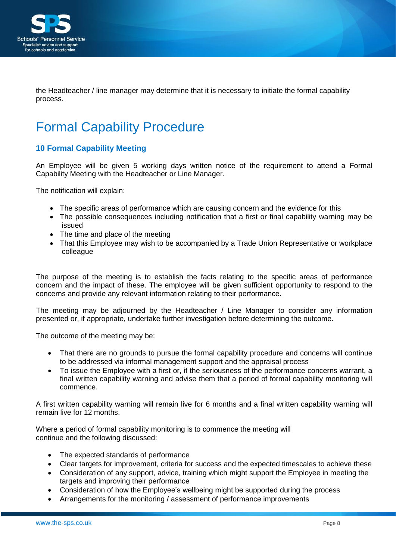

the Headteacher / line manager may determine that it is necessary to initiate the formal capability process.

# Formal Capability Procedure

# <span id="page-7-0"></span>**10 Formal Capability Meeting**

An Employee will be given 5 working days written notice of the requirement to attend a Formal Capability Meeting with the Headteacher or Line Manager.

The notification will explain:

- The specific areas of performance which are causing concern and the evidence for this
- The possible consequences including notification that a first or final capability warning may be issued
- The time and place of the meeting
- That this Employee may wish to be accompanied by a Trade Union Representative or workplace colleague

The purpose of the meeting is to establish the facts relating to the specific areas of performance concern and the impact of these. The employee will be given sufficient opportunity to respond to the concerns and provide any relevant information relating to their performance.

The meeting may be adjourned by the Headteacher / Line Manager to consider any information presented or, if appropriate, undertake further investigation before determining the outcome.

The outcome of the meeting may be:

- That there are no grounds to pursue the formal capability procedure and concerns will continue to be addressed via informal management support and the appraisal process
- To issue the Employee with a first or, if the seriousness of the performance concerns warrant, a final written capability warning and advise them that a period of formal capability monitoring will commence.

A first written capability warning will remain live for 6 months and a final written capability warning will remain live for 12 months.

Where a period of formal capability monitoring is to commence the meeting will continue and the following discussed:

- The expected standards of performance
- Clear targets for improvement, criteria for success and the expected timescales to achieve these
- Consideration of any support, advice, training which might support the Employee in meeting the targets and improving their performance
- Consideration of how the Employee's wellbeing might be supported during the process
- Arrangements for the monitoring / assessment of performance improvements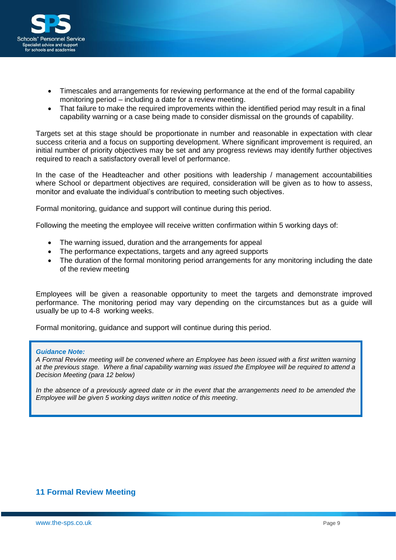

- Timescales and arrangements for reviewing performance at the end of the formal capability monitoring period – including a date for a review meeting.
- That failure to make the required improvements within the identified period may result in a final capability warning or a case being made to consider dismissal on the grounds of capability.

Targets set at this stage should be proportionate in number and reasonable in expectation with clear success criteria and a focus on supporting development. Where significant improvement is required, an initial number of priority objectives may be set and any progress reviews may identify further objectives required to reach a satisfactory overall level of performance.

In the case of the Headteacher and other positions with leadership / management accountabilities where School or department objectives are required, consideration will be given as to how to assess, monitor and evaluate the individual's contribution to meeting such objectives.

Formal monitoring, guidance and support will continue during this period.

Following the meeting the employee will receive written confirmation within 5 working days of:

- The warning issued, duration and the arrangements for appeal
- The performance expectations, targets and any agreed supports
- The duration of the formal monitoring period arrangements for any monitoring including the date of the review meeting

Employees will be given a reasonable opportunity to meet the targets and demonstrate improved performance. The monitoring period may vary depending on the circumstances but as a guide will usually be up to 4-8 working weeks.

Formal monitoring, guidance and support will continue during this period.

#### *Guidance Note:*

*A Formal Review meeting will be convened where an Employee has been issued with a first written warning at the previous stage. Where a final capability warning was issued the Employee will be required to attend a Decision Meeting (para 12 below)*

*In the absence of a previously agreed date or in the event that the arrangements need to be amended the Employee will be given 5 working days written notice of this meeting*.

## <span id="page-8-0"></span>**11 Formal Review Meeting**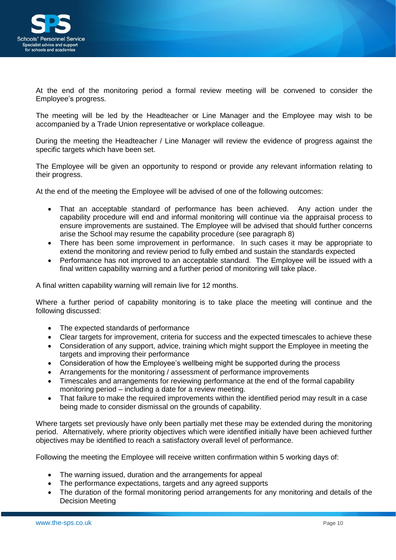

At the end of the monitoring period a formal review meeting will be convened to consider the Employee's progress.

The meeting will be led by the Headteacher or Line Manager and the Employee may wish to be accompanied by a Trade Union representative or workplace colleague.

During the meeting the Headteacher / Line Manager will review the evidence of progress against the specific targets which have been set.

The Employee will be given an opportunity to respond or provide any relevant information relating to their progress.

At the end of the meeting the Employee will be advised of one of the following outcomes:

- That an acceptable standard of performance has been achieved. Any action under the capability procedure will end and informal monitoring will continue via the appraisal process to ensure improvements are sustained. The Employee will be advised that should further concerns arise the School may resume the capability procedure (see paragraph 8)
- There has been some improvement in performance. In such cases it may be appropriate to extend the monitoring and review period to fully embed and sustain the standards expected
- Performance has not improved to an acceptable standard. The Employee will be issued with a final written capability warning and a further period of monitoring will take place.

A final written capability warning will remain live for 12 months.

Where a further period of capability monitoring is to take place the meeting will continue and the following discussed:

- The expected standards of performance
- Clear targets for improvement, criteria for success and the expected timescales to achieve these
- Consideration of any support, advice, training which might support the Employee in meeting the targets and improving their performance
- Consideration of how the Employee's wellbeing might be supported during the process
- Arrangements for the monitoring / assessment of performance improvements
- Timescales and arrangements for reviewing performance at the end of the formal capability monitoring period – including a date for a review meeting.
- That failure to make the required improvements within the identified period may result in a case being made to consider dismissal on the grounds of capability.

Where targets set previously have only been partially met these may be extended during the monitoring period. Alternatively, where priority objectives which were identified initially have been achieved further objectives may be identified to reach a satisfactory overall level of performance.

Following the meeting the Employee will receive written confirmation within 5 working days of:

- The warning issued, duration and the arrangements for appeal
- The performance expectations, targets and any agreed supports
- The duration of the formal monitoring period arrangements for any monitoring and details of the Decision Meeting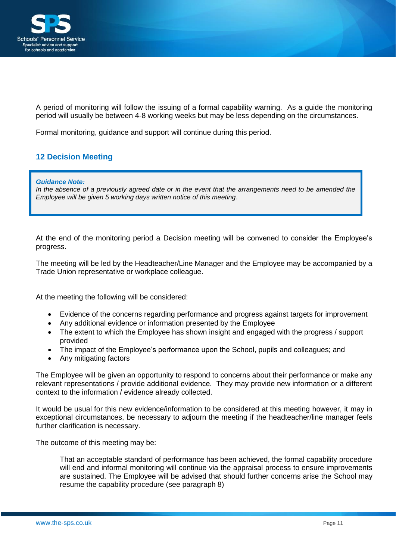

A period of monitoring will follow the issuing of a formal capability warning. As a guide the monitoring period will usually be between 4-8 working weeks but may be less depending on the circumstances.

Formal monitoring, guidance and support will continue during this period.

# <span id="page-10-0"></span>**12 Decision Meeting**

*Guidance Note:*

*In the absence of a previously agreed date or in the event that the arrangements need to be amended the Employee will be given 5 working days written notice of this meeting*.

At the end of the monitoring period a Decision meeting will be convened to consider the Employee's progress.

The meeting will be led by the Headteacher/Line Manager and the Employee may be accompanied by a Trade Union representative or workplace colleague.

At the meeting the following will be considered:

- Evidence of the concerns regarding performance and progress against targets for improvement
- Any additional evidence or information presented by the Employee
- The extent to which the Employee has shown insight and engaged with the progress / support provided
- The impact of the Employee's performance upon the School, pupils and colleagues; and
- Any mitigating factors

The Employee will be given an opportunity to respond to concerns about their performance or make any relevant representations / provide additional evidence. They may provide new information or a different context to the information / evidence already collected.

It would be usual for this new evidence/information to be considered at this meeting however, it may in exceptional circumstances, be necessary to adjourn the meeting if the headteacher/line manager feels further clarification is necessary.

The outcome of this meeting may be:

That an acceptable standard of performance has been achieved, the formal capability procedure will end and informal monitoring will continue via the appraisal process to ensure improvements are sustained. The Employee will be advised that should further concerns arise the School may resume the capability procedure (see paragraph 8)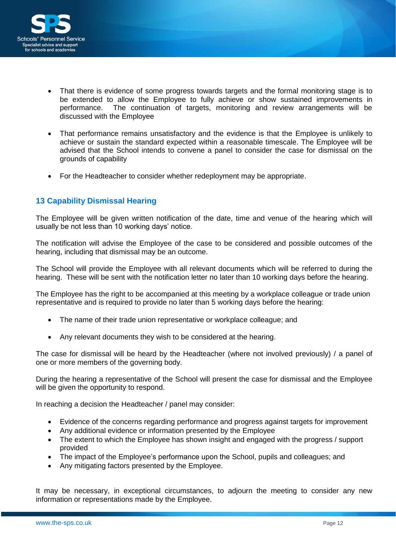

- That there is evidence of some progress towards targets and the formal monitoring stage is to be extended to allow the Employee to fully achieve or show sustained improvements in performance. The continuation of targets, monitoring and review arrangements will be discussed with the Employee
- That performance remains unsatisfactory and the evidence is that the Employee is unlikely to achieve or sustain the standard expected within a reasonable timescale. The Employee will be advised that the School intends to convene a panel to consider the case for dismissal on the grounds of capability
- For the Headteacher to consider whether redeployment may be appropriate.

## <span id="page-11-0"></span>**13 Capability Dismissal Hearing**

The Employee will be given written notification of the date, time and venue of the hearing which will usually be not less than 10 working days' notice.

The notification will advise the Employee of the case to be considered and possible outcomes of the hearing, including that dismissal may be an outcome.

The School will provide the Employee with all relevant documents which will be referred to during the hearing. These will be sent with the notification letter no later than 10 working days before the hearing.

The Employee has the right to be accompanied at this meeting by a workplace colleague or trade union representative and is required to provide no later than 5 working days before the hearing:

- The name of their trade union representative or workplace colleague; and
- Any relevant documents they wish to be considered at the hearing.

The case for dismissal will be heard by the Headteacher (where not involved previously) / a panel of one or more members of the governing body.

During the hearing a representative of the School will present the case for dismissal and the Employee will be given the opportunity to respond.

In reaching a decision the Headteacher / panel may consider:

- Evidence of the concerns regarding performance and progress against targets for improvement
- Any additional evidence or information presented by the Employee
- The extent to which the Employee has shown insight and engaged with the progress / support provided
- The impact of the Employee's performance upon the School, pupils and colleagues; and
- Any mitigating factors presented by the Employee.

It may be necessary, in exceptional circumstances, to adjourn the meeting to consider any new information or representations made by the Employee.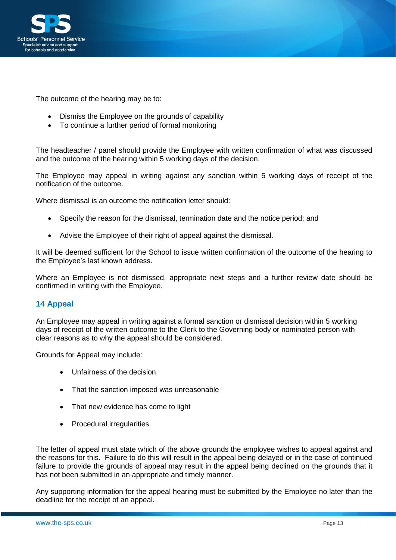

The outcome of the hearing may be to:

- Dismiss the Employee on the grounds of capability
- To continue a further period of formal monitoring

The headteacher / panel should provide the Employee with written confirmation of what was discussed and the outcome of the hearing within 5 working days of the decision.

The Employee may appeal in writing against any sanction within 5 working days of receipt of the notification of the outcome.

Where dismissal is an outcome the notification letter should:

- Specify the reason for the dismissal, termination date and the notice period; and
- Advise the Employee of their right of appeal against the dismissal.

It will be deemed sufficient for the School to issue written confirmation of the outcome of the hearing to the Employee's last known address.

Where an Employee is not dismissed, appropriate next steps and a further review date should be confirmed in writing with the Employee.

## <span id="page-12-0"></span>**14 Appeal**

An Employee may appeal in writing against a formal sanction or dismissal decision within 5 working days of receipt of the written outcome to the Clerk to the Governing body or nominated person with clear reasons as to why the appeal should be considered.

Grounds for Appeal may include:

- Unfairness of the decision
- That the sanction imposed was unreasonable
- That new evidence has come to light
- Procedural irregularities.

The letter of appeal must state which of the above grounds the employee wishes to appeal against and the reasons for this. Failure to do this will result in the appeal being delayed or in the case of continued failure to provide the grounds of appeal may result in the appeal being declined on the grounds that it has not been submitted in an appropriate and timely manner.

Any supporting information for the appeal hearing must be submitted by the Employee no later than the deadline for the receipt of an appeal.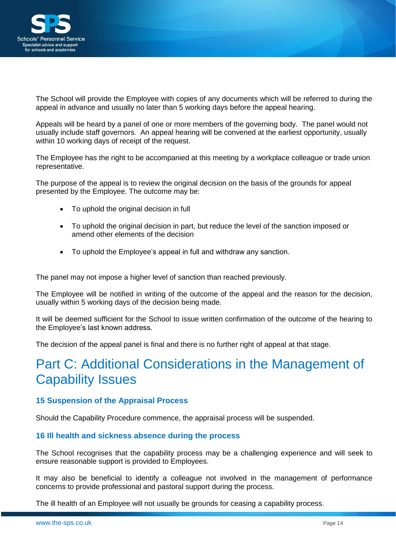

The School will provide the Employee with copies of any documents which will be referred to during the appeal in advance and usually no later than 5 working days before the appeal hearing.

Appeals will be heard by a panel of one or more members of the governing body. The panel would not usually include staff governors. An appeal hearing will be convened at the earliest opportunity, usually within 10 working days of receipt of the request.

The Employee has the right to be accompanied at this meeting by a workplace colleague or trade union representative.

The purpose of the appeal is to review the original decision on the basis of the grounds for appeal presented by the Employee. The outcome may be:

- To uphold the original decision in full
- To uphold the original decision in part, but reduce the level of the sanction imposed or amend other elements of the decision
- To uphold the Employee's appeal in full and withdraw any sanction.

The panel may not impose a higher level of sanction than reached previously.

The Employee will be notified in writing of the outcome of the appeal and the reason for the decision, usually within 5 working days of the decision being made.

It will be deemed sufficient for the School to issue written confirmation of the outcome of the hearing to the Employee's last known address.

The decision of the appeal panel is final and there is no further right of appeal at that stage.

# <span id="page-13-0"></span>Part C: Additional Considerations in the Management of Capability Issues

#### <span id="page-13-1"></span>**15 Suspension of the Appraisal Process**

Should the Capability Procedure commence, the appraisal process will be suspended.

#### <span id="page-13-2"></span>**16 Ill health and sickness absence during the process**

The School recognises that the capability process may be a challenging experience and will seek to ensure reasonable support is provided to Employees.

It may also be beneficial to identify a colleague not involved in the management of performance concerns to provide professional and pastoral support during the process.

The ill health of an Employee will not usually be grounds for ceasing a capability process.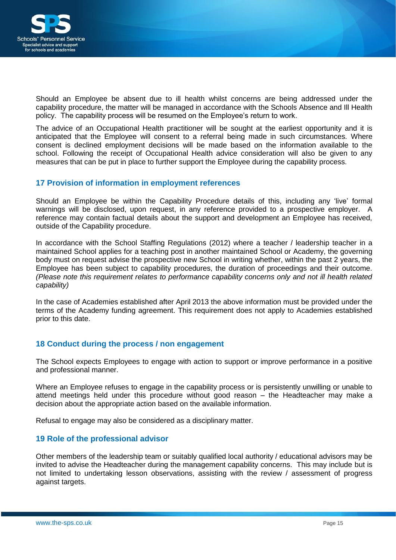

Should an Employee be absent due to ill health whilst concerns are being addressed under the capability procedure, the matter will be managed in accordance with the Schools Absence and Ill Health policy. The capability process will be resumed on the Employee's return to work.

The advice of an Occupational Health practitioner will be sought at the earliest opportunity and it is anticipated that the Employee will consent to a referral being made in such circumstances. Where consent is declined employment decisions will be made based on the information available to the school. Following the receipt of Occupational Health advice consideration will also be given to any measures that can be put in place to further support the Employee during the capability process.

### <span id="page-14-0"></span>**17 Provision of information in employment references**

Should an Employee be within the Capability Procedure details of this, including any 'live' formal warnings will be disclosed, upon request, in any reference provided to a prospective employer. A reference may contain factual details about the support and development an Employee has received, outside of the Capability procedure.

In accordance with the School Staffing Regulations (2012) where a teacher / leadership teacher in a maintained School applies for a teaching post in another maintained School or Academy, the governing body must on request advise the prospective new School in writing whether, within the past 2 years, the Employee has been subject to capability procedures, the duration of proceedings and their outcome. *(Please note this requirement relates to performance capability concerns only and not ill health related capability)*

In the case of Academies established after April 2013 the above information must be provided under the terms of the Academy funding agreement. This requirement does not apply to Academies established prior to this date.

## <span id="page-14-1"></span>**18 Conduct during the process / non engagement**

The School expects Employees to engage with action to support or improve performance in a positive and professional manner.

Where an Employee refuses to engage in the capability process or is persistently unwilling or unable to attend meetings held under this procedure without good reason – the Headteacher may make a decision about the appropriate action based on the available information.

Refusal to engage may also be considered as a disciplinary matter.

#### <span id="page-14-2"></span>**19 Role of the professional advisor**

Other members of the leadership team or suitably qualified local authority / educational advisors may be invited to advise the Headteacher during the management capability concerns. This may include but is not limited to undertaking lesson observations, assisting with the review / assessment of progress against targets.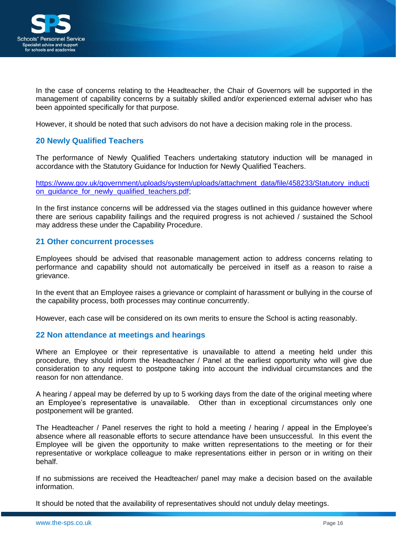

In the case of concerns relating to the Headteacher, the Chair of Governors will be supported in the management of capability concerns by a suitably skilled and/or experienced external adviser who has been appointed specifically for that purpose.

However, it should be noted that such advisors do not have a decision making role in the process.

### <span id="page-15-0"></span>**20 Newly Qualified Teachers**

The performance of Newly Qualified Teachers undertaking statutory induction will be managed in accordance with the Statutory Guidance for Induction for Newly Qualified Teachers.

[https://www.gov.uk/government/uploads/system/uploads/attachment\\_data/file/458233/Statutory\\_inducti](https://www.gov.uk/government/uploads/system/uploads/attachment_data/file/458233/Statutory_induction_guidance_for_newly_qualified_teachers.pdf) on\_quidance\_for\_newly\_qualified\_teachers.pdf;

In the first instance concerns will be addressed via the stages outlined in this guidance however where there are serious capability failings and the required progress is not achieved / sustained the School may address these under the Capability Procedure.

#### <span id="page-15-1"></span>**21 Other concurrent processes**

Employees should be advised that reasonable management action to address concerns relating to performance and capability should not automatically be perceived in itself as a reason to raise a grievance.

In the event that an Employee raises a grievance or complaint of harassment or bullying in the course of the capability process, both processes may continue concurrently.

However, each case will be considered on its own merits to ensure the School is acting reasonably.

#### <span id="page-15-2"></span>**22 Non attendance at meetings and hearings**

Where an Employee or their representative is unavailable to attend a meeting held under this procedure, they should inform the Headteacher / Panel at the earliest opportunity who will give due consideration to any request to postpone taking into account the individual circumstances and the reason for non attendance.

A hearing / appeal may be deferred by up to 5 working days from the date of the original meeting where an Employee's representative is unavailable. Other than in exceptional circumstances only one postponement will be granted.

The Headteacher / Panel reserves the right to hold a meeting / hearing / appeal in the Employee's absence where all reasonable efforts to secure attendance have been unsuccessful. In this event the Employee will be given the opportunity to make written representations to the meeting or for their representative or workplace colleague to make representations either in person or in writing on their behalf.

If no submissions are received the Headteacher/ panel may make a decision based on the available information.

It should be noted that the availability of representatives should not unduly delay meetings.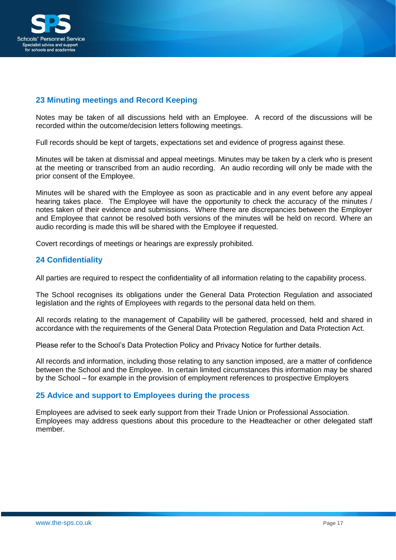

# <span id="page-16-0"></span>**23 Minuting meetings and Record Keeping**

Notes may be taken of all discussions held with an Employee. A record of the discussions will be recorded within the outcome/decision letters following meetings.

Full records should be kept of targets, expectations set and evidence of progress against these.

Minutes will be taken at dismissal and appeal meetings. Minutes may be taken by a clerk who is present at the meeting or transcribed from an audio recording. An audio recording will only be made with the prior consent of the Employee.

Minutes will be shared with the Employee as soon as practicable and in any event before any appeal hearing takes place. The Employee will have the opportunity to check the accuracy of the minutes / notes taken of their evidence and submissions. Where there are discrepancies between the Employer and Employee that cannot be resolved both versions of the minutes will be held on record. Where an audio recording is made this will be shared with the Employee if requested.

Covert recordings of meetings or hearings are expressly prohibited.

#### <span id="page-16-1"></span>**24 Confidentiality**

All parties are required to respect the confidentiality of all information relating to the capability process.

The School recognises its obligations under the General Data Protection Regulation and associated legislation and the rights of Employees with regards to the personal data held on them.

All records relating to the management of Capability will be gathered, processed, held and shared in accordance with the requirements of the General Data Protection Regulation and Data Protection Act.

Please refer to the School's Data Protection Policy and Privacy Notice for further details.

All records and information, including those relating to any sanction imposed, are a matter of confidence between the School and the Employee. In certain limited circumstances this information may be shared by the School – for example in the provision of employment references to prospective Employers

#### <span id="page-16-2"></span>**25 Advice and support to Employees during the process**

Employees are advised to seek early support from their Trade Union or Professional Association. Employees may address questions about this procedure to the Headteacher or other delegated staff member.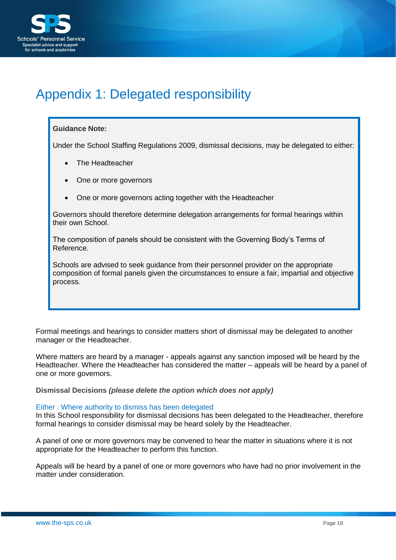

# <span id="page-17-0"></span>Appendix 1: Delegated responsibility

#### **Guidance Note:**

Under the School Staffing Regulations 2009, dismissal decisions, may be delegated to either:

- The Headteacher
- One or more governors
- One or more governors acting together with the Headteacher

Governors should therefore determine delegation arrangements for formal hearings within their own School.

The composition of panels should be consistent with the Governing Body's Terms of Reference.

Schools are advised to seek guidance from their personnel provider on the appropriate composition of formal panels given the circumstances to ensure a fair, impartial and objective process.

Formal meetings and hearings to consider matters short of dismissal may be delegated to another manager or the Headteacher.

Where matters are heard by a manager - appeals against any sanction imposed will be heard by the Headteacher. Where the Headteacher has considered the matter – appeals will be heard by a panel of one or more governors.

**Dismissal Decisions** *(please delete the option which does not apply)*

#### Either : Where authority to dismiss has been delegated

In this School responsibility for dismissal decisions has been delegated to the Headteacher, therefore formal hearings to consider dismissal may be heard solely by the Headteacher.

A panel of one or more governors may be convened to hear the matter in situations where it is not appropriate for the Headteacher to perform this function.

Appeals will be heard by a panel of one or more governors who have had no prior involvement in the matter under consideration.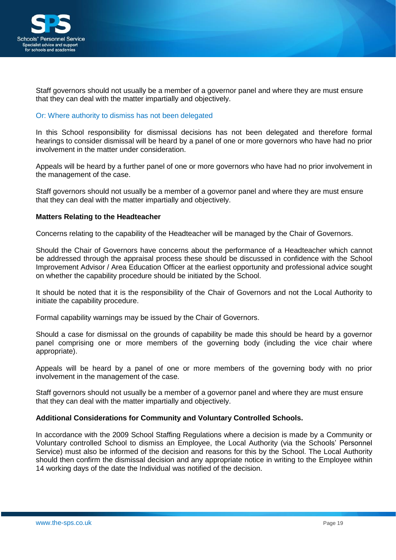

Staff governors should not usually be a member of a governor panel and where they are must ensure that they can deal with the matter impartially and objectively.

#### Or: Where authority to dismiss has not been delegated

In this School responsibility for dismissal decisions has not been delegated and therefore formal hearings to consider dismissal will be heard by a panel of one or more governors who have had no prior involvement in the matter under consideration.

Appeals will be heard by a further panel of one or more governors who have had no prior involvement in the management of the case.

Staff governors should not usually be a member of a governor panel and where they are must ensure that they can deal with the matter impartially and objectively.

#### **Matters Relating to the Headteacher**

Concerns relating to the capability of the Headteacher will be managed by the Chair of Governors.

Should the Chair of Governors have concerns about the performance of a Headteacher which cannot be addressed through the appraisal process these should be discussed in confidence with the School Improvement Advisor / Area Education Officer at the earliest opportunity and professional advice sought on whether the capability procedure should be initiated by the School.

It should be noted that it is the responsibility of the Chair of Governors and not the Local Authority to initiate the capability procedure.

Formal capability warnings may be issued by the Chair of Governors.

Should a case for dismissal on the grounds of capability be made this should be heard by a governor panel comprising one or more members of the governing body (including the vice chair where appropriate).

Appeals will be heard by a panel of one or more members of the governing body with no prior involvement in the management of the case.

Staff governors should not usually be a member of a governor panel and where they are must ensure that they can deal with the matter impartially and objectively.

#### **Additional Considerations for Community and Voluntary Controlled Schools.**

In accordance with the 2009 School Staffing Regulations where a decision is made by a Community or Voluntary controlled School to dismiss an Employee, the Local Authority (via the Schools' Personnel Service) must also be informed of the decision and reasons for this by the School. The Local Authority should then confirm the dismissal decision and any appropriate notice in writing to the Employee within 14 working days of the date the Individual was notified of the decision.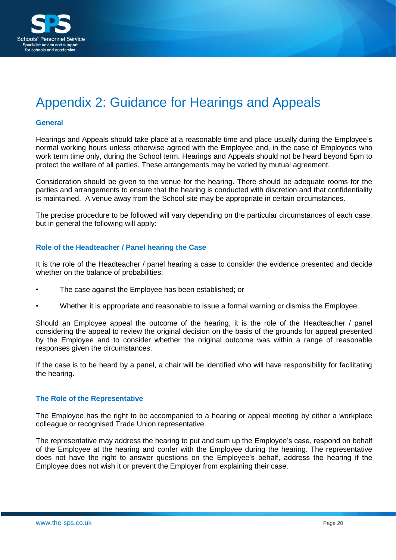

# <span id="page-19-0"></span>Appendix 2: Guidance for Hearings and Appeals

#### **General**

Hearings and Appeals should take place at a reasonable time and place usually during the Employee's normal working hours unless otherwise agreed with the Employee and, in the case of Employees who work term time only, during the School term. Hearings and Appeals should not be heard beyond 5pm to protect the welfare of all parties. These arrangements may be varied by mutual agreement.

Consideration should be given to the venue for the hearing. There should be adequate rooms for the parties and arrangements to ensure that the hearing is conducted with discretion and that confidentiality is maintained. A venue away from the School site may be appropriate in certain circumstances.

The precise procedure to be followed will vary depending on the particular circumstances of each case, but in general the following will apply:

#### **Role of the Headteacher / Panel hearing the Case**

It is the role of the Headteacher / panel hearing a case to consider the evidence presented and decide whether on the balance of probabilities:

- The case against the Employee has been established; or
- Whether it is appropriate and reasonable to issue a formal warning or dismiss the Employee.

Should an Employee appeal the outcome of the hearing, it is the role of the Headteacher / panel considering the appeal to review the original decision on the basis of the grounds for appeal presented by the Employee and to consider whether the original outcome was within a range of reasonable responses given the circumstances.

If the case is to be heard by a panel, a chair will be identified who will have responsibility for facilitating the hearing.

#### **The Role of the Representative**

The Employee has the right to be accompanied to a hearing or appeal meeting by either a workplace colleague or recognised Trade Union representative.

The representative may address the hearing to put and sum up the Employee's case, respond on behalf of the Employee at the hearing and confer with the Employee during the hearing. The representative does not have the right to answer questions on the Employee's behalf, address the hearing if the Employee does not wish it or prevent the Employer from explaining their case.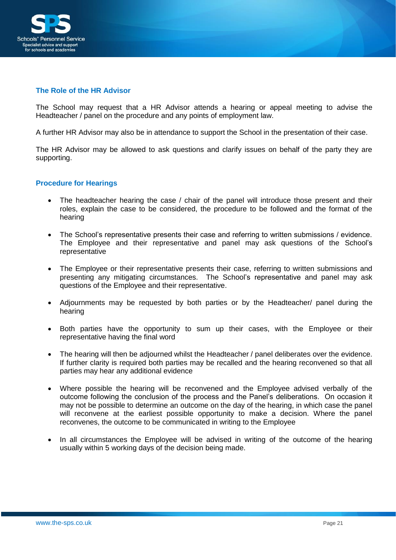

#### **The Role of the HR Advisor**

The School may request that a HR Advisor attends a hearing or appeal meeting to advise the Headteacher / panel on the procedure and any points of employment law.

A further HR Advisor may also be in attendance to support the School in the presentation of their case.

The HR Advisor may be allowed to ask questions and clarify issues on behalf of the party they are supporting.

#### **Procedure for Hearings**

- The headteacher hearing the case / chair of the panel will introduce those present and their roles, explain the case to be considered, the procedure to be followed and the format of the hearing
- The School's representative presents their case and referring to written submissions / evidence. The Employee and their representative and panel may ask questions of the School's representative
- The Employee or their representative presents their case, referring to written submissions and presenting any mitigating circumstances. The School's representative and panel may ask questions of the Employee and their representative.
- Adjournments may be requested by both parties or by the Headteacher/ panel during the hearing
- Both parties have the opportunity to sum up their cases, with the Employee or their representative having the final word
- The hearing will then be adjourned whilst the Headteacher / panel deliberates over the evidence. If further clarity is required both parties may be recalled and the hearing reconvened so that all parties may hear any additional evidence
- Where possible the hearing will be reconvened and the Employee advised verbally of the outcome following the conclusion of the process and the Panel's deliberations. On occasion it may not be possible to determine an outcome on the day of the hearing, in which case the panel will reconvene at the earliest possible opportunity to make a decision. Where the panel reconvenes, the outcome to be communicated in writing to the Employee
- In all circumstances the Employee will be advised in writing of the outcome of the hearing usually within 5 working days of the decision being made.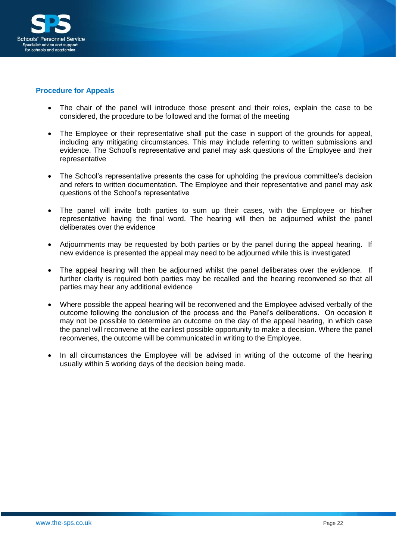

#### **Procedure for Appeals**

- The chair of the panel will introduce those present and their roles, explain the case to be considered, the procedure to be followed and the format of the meeting
- The Employee or their representative shall put the case in support of the grounds for appeal, including any mitigating circumstances. This may include referring to written submissions and evidence. The School's representative and panel may ask questions of the Employee and their representative
- The School's representative presents the case for upholding the previous committee's decision and refers to written documentation. The Employee and their representative and panel may ask questions of the School's representative
- The panel will invite both parties to sum up their cases, with the Employee or his/her representative having the final word. The hearing will then be adjourned whilst the panel deliberates over the evidence
- Adjournments may be requested by both parties or by the panel during the appeal hearing. If new evidence is presented the appeal may need to be adjourned while this is investigated
- The appeal hearing will then be adjourned whilst the panel deliberates over the evidence. If further clarity is required both parties may be recalled and the hearing reconvened so that all parties may hear any additional evidence
- Where possible the appeal hearing will be reconvened and the Employee advised verbally of the outcome following the conclusion of the process and the Panel's deliberations. On occasion it may not be possible to determine an outcome on the day of the appeal hearing, in which case the panel will reconvene at the earliest possible opportunity to make a decision. Where the panel reconvenes, the outcome will be communicated in writing to the Employee.
- In all circumstances the Employee will be advised in writing of the outcome of the hearing usually within 5 working days of the decision being made.